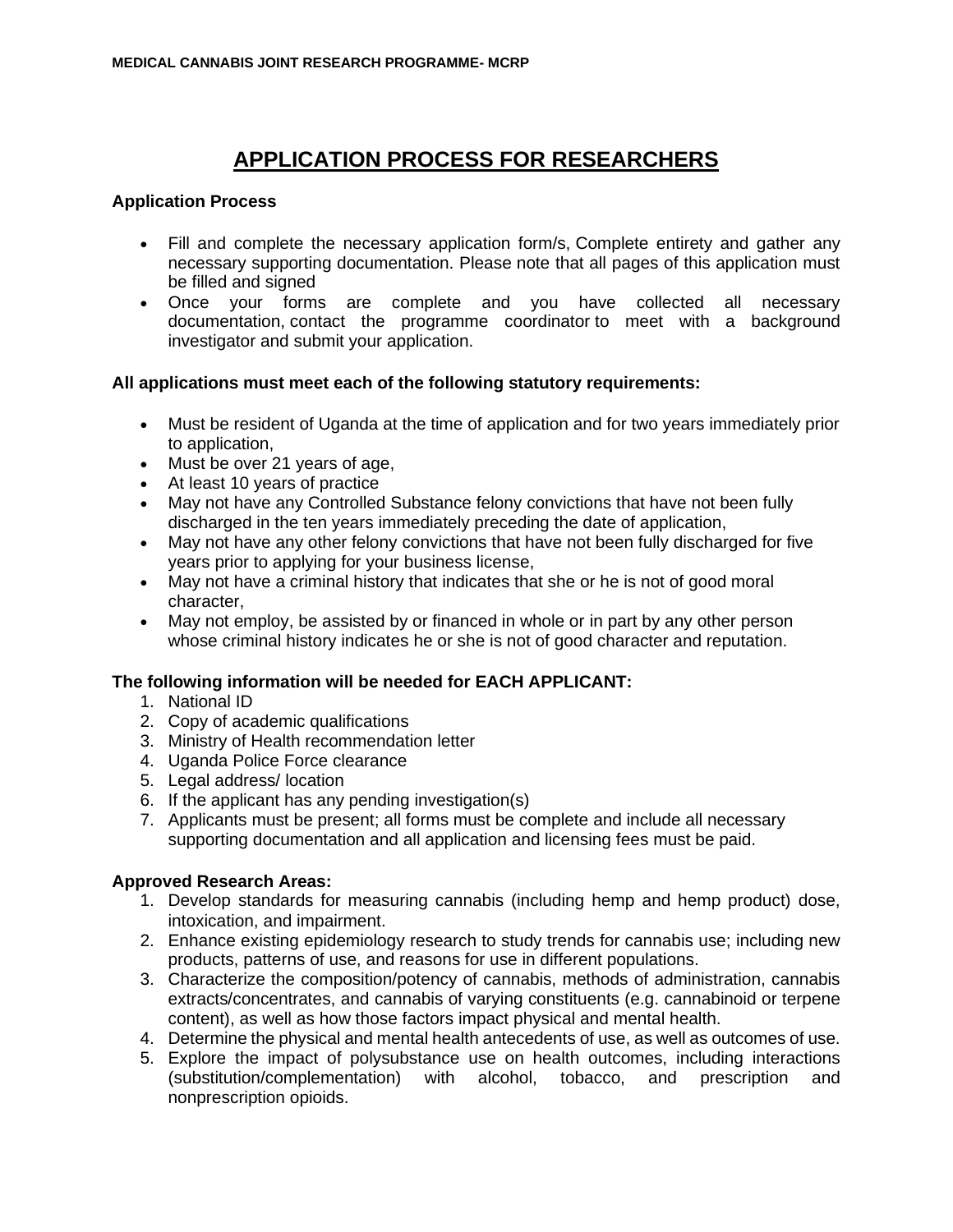# **APPLICATION PROCESS FOR RESEARCHERS**

## **Application Process**

- Fill and complete the necessary application form/s, Complete entirety and gather any necessary supporting documentation. Please note that all pages of this application must be filled and signed
- Once your forms are complete and you have collected all necessary documentation, contact the programme coordinator to meet with a background investigator and submit your application.

## **All applications must meet each of the following statutory requirements:**

- Must be resident of Uganda at the time of application and for two years immediately prior to application,
- Must be over 21 years of age,
- At least 10 years of practice
- May not have any Controlled Substance felony convictions that have not been fully discharged in the ten years immediately preceding the date of application,
- May not have any other felony convictions that have not been fully discharged for five years prior to applying for your business license,
- May not have a criminal history that indicates that she or he is not of good moral character,
- May not employ, be assisted by or financed in whole or in part by any other person whose criminal history indicates he or she is not of good character and reputation.

### **The following information will be needed for EACH APPLICANT:**

- 1. National ID
- 2. Copy of academic qualifications
- 3. Ministry of Health recommendation letter
- 4. Uganda Police Force clearance
- 5. Legal address/ location
- 6. If the applicant has any pending investigation(s)
- 7. Applicants must be present; all forms must be complete and include all necessary supporting documentation and all application and licensing fees must be paid.

### **Approved Research Areas:**

- 1. Develop standards for measuring cannabis (including hemp and hemp product) dose, intoxication, and impairment.
- 2. Enhance existing epidemiology research to study trends for cannabis use; including new products, patterns of use, and reasons for use in different populations.
- 3. Characterize the composition/potency of cannabis, methods of administration, cannabis extracts/concentrates, and cannabis of varying constituents (e.g. cannabinoid or terpene content), as well as how those factors impact physical and mental health.
- 4. Determine the physical and mental health antecedents of use, as well as outcomes of use.
- 5. Explore the impact of polysubstance use on health outcomes, including interactions (substitution/complementation) with alcohol, tobacco, and prescription and nonprescription opioids.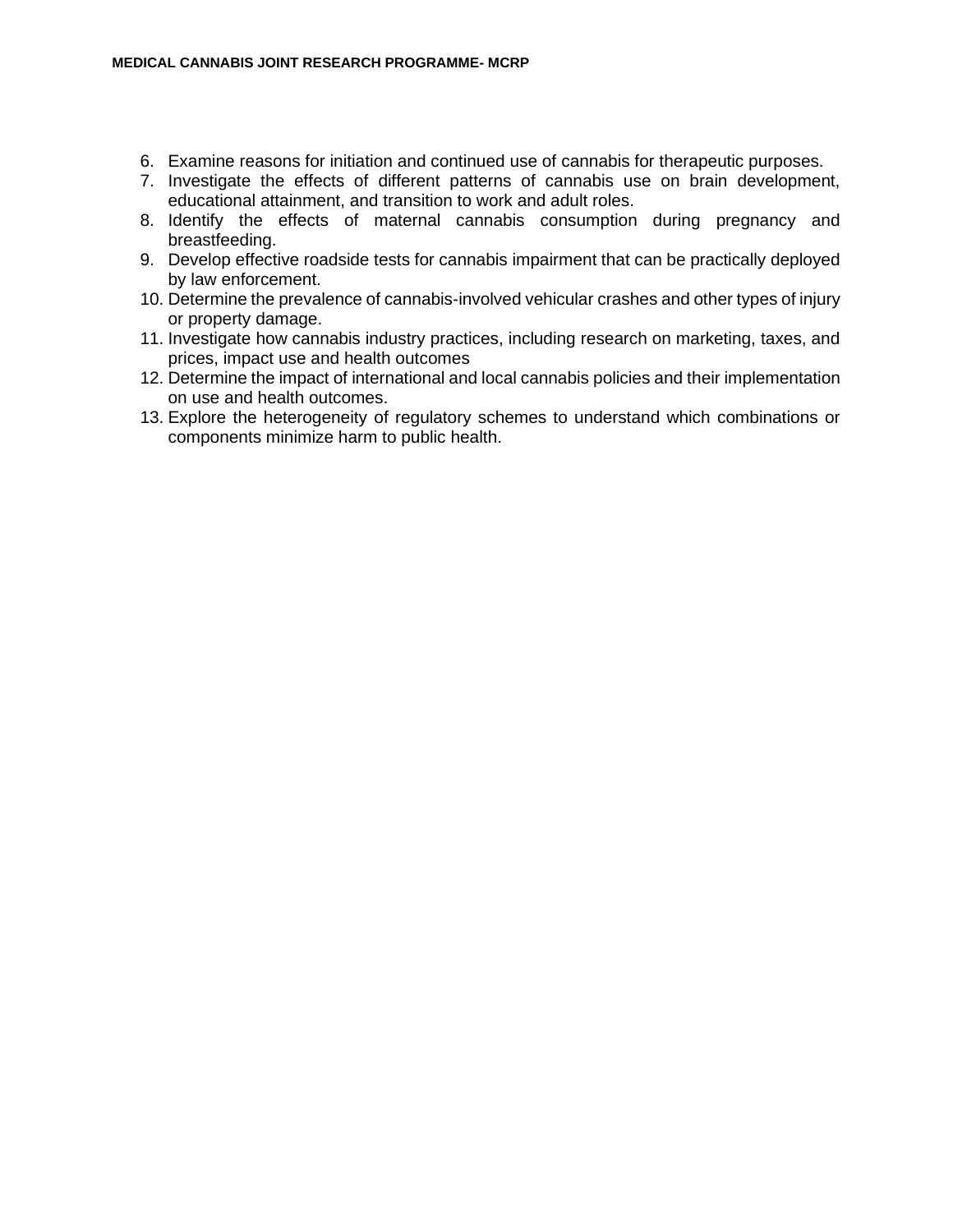- 6. Examine reasons for initiation and continued use of cannabis for therapeutic purposes.
- 7. Investigate the effects of different patterns of cannabis use on brain development, educational attainment, and transition to work and adult roles.
- 8. Identify the effects of maternal cannabis consumption during pregnancy and breastfeeding.
- 9. Develop effective roadside tests for cannabis impairment that can be practically deployed by law enforcement.
- 10. Determine the prevalence of cannabis-involved vehicular crashes and other types of injury or property damage.
- 11. Investigate how cannabis industry practices, including research on marketing, taxes, and prices, impact use and health outcomes
- 12. Determine the impact of international and local cannabis policies and their implementation on use and health outcomes.
- 13. Explore the heterogeneity of regulatory schemes to understand which combinations or components minimize harm to public health.